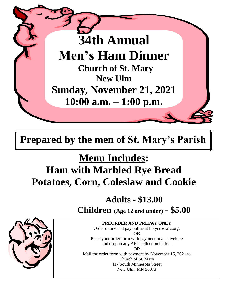

**Prepared by the men of St. Mary's Parish**

# **Menu Includes:**

## **Ham with Marbled Rye Bread Potatoes, Corn, Coleslaw and Cookie**

### **Adults - \$13.00**

 **Children (Age 12 and under) - \$5.00**

**PREORDER AND PREPAY ONLY** Order online and pay online at holycrossafc.org.

**OR**

Place your order form with payment in an envelope and drop in any AFC collection basket. **OR**

Mail the order form with payment by November 15, 2021 to Church of St. Mary 417 South Minnesota Street New Ulm, MN 56073